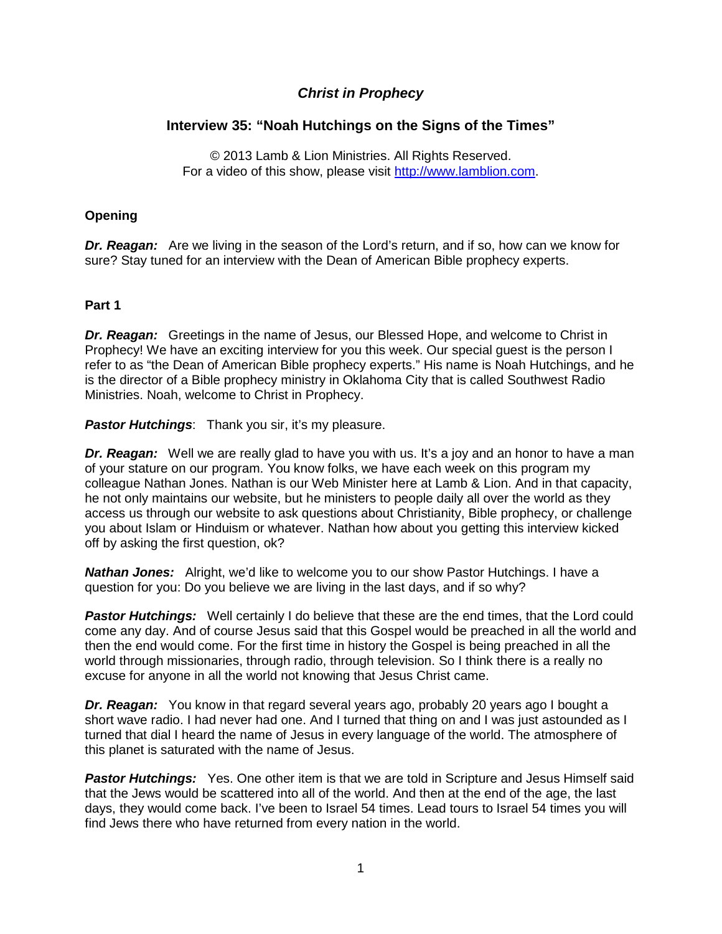# *Christ in Prophecy*

## **Interview 35: "Noah Hutchings on the Signs of the Times"**

© 2013 Lamb & Lion Ministries. All Rights Reserved. For a video of this show, please visit [http://www.lamblion.com.](http://www.lamblion.com/)

### **Opening**

*Dr. Reagan:* Are we living in the season of the Lord's return, and if so, how can we know for sure? Stay tuned for an interview with the Dean of American Bible prophecy experts.

#### **Part 1**

*Dr. Reagan:* Greetings in the name of Jesus, our Blessed Hope, and welcome to Christ in Prophecy! We have an exciting interview for you this week. Our special guest is the person I refer to as "the Dean of American Bible prophecy experts." His name is Noah Hutchings, and he is the director of a Bible prophecy ministry in Oklahoma City that is called Southwest Radio Ministries. Noah, welcome to Christ in Prophecy.

*Pastor Hutchings:* Thank you sir, it's my pleasure.

**Dr. Reagan:** Well we are really glad to have you with us. It's a joy and an honor to have a man of your stature on our program. You know folks, we have each week on this program my colleague Nathan Jones. Nathan is our Web Minister here at Lamb & Lion. And in that capacity, he not only maintains our website, but he ministers to people daily all over the world as they access us through our website to ask questions about Christianity, Bible prophecy, or challenge you about Islam or Hinduism or whatever. Nathan how about you getting this interview kicked off by asking the first question, ok?

*Nathan Jones:* Alright, we'd like to welcome you to our show Pastor Hutchings. I have a question for you: Do you believe we are living in the last days, and if so why?

**Pastor Hutchings:** Well certainly I do believe that these are the end times, that the Lord could come any day. And of course Jesus said that this Gospel would be preached in all the world and then the end would come. For the first time in history the Gospel is being preached in all the world through missionaries, through radio, through television. So I think there is a really no excuse for anyone in all the world not knowing that Jesus Christ came.

*Dr. Reagan:* You know in that regard several years ago, probably 20 years ago I bought a short wave radio. I had never had one. And I turned that thing on and I was just astounded as I turned that dial I heard the name of Jesus in every language of the world. The atmosphere of this planet is saturated with the name of Jesus.

**Pastor Hutchings:** Yes. One other item is that we are told in Scripture and Jesus Himself said that the Jews would be scattered into all of the world. And then at the end of the age, the last days, they would come back. I've been to Israel 54 times. Lead tours to Israel 54 times you will find Jews there who have returned from every nation in the world.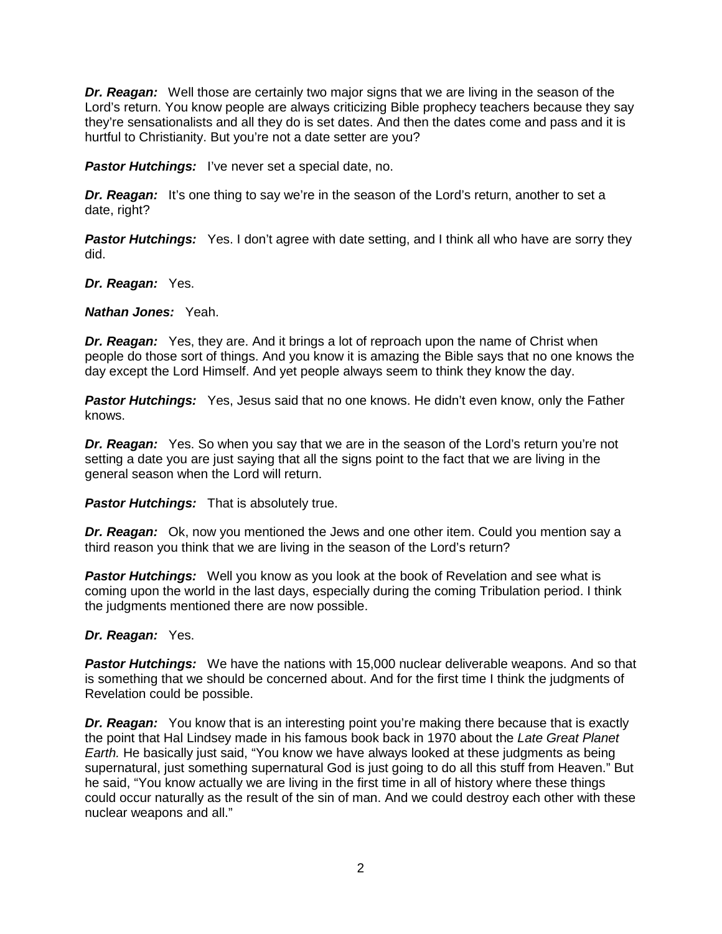*Dr. Reagan:* Well those are certainly two major signs that we are living in the season of the Lord's return. You know people are always criticizing Bible prophecy teachers because they say they're sensationalists and all they do is set dates. And then the dates come and pass and it is hurtful to Christianity. But you're not a date setter are you?

*Pastor Hutchings:* I've never set a special date, no.

**Dr. Reagan:** It's one thing to say we're in the season of the Lord's return, another to set a date, right?

**Pastor Hutchings:** Yes. I don't agree with date setting, and I think all who have are sorry they did.

### *Dr. Reagan:* Yes.

*Nathan Jones:* Yeah.

*Dr. Reagan:* Yes, they are. And it brings a lot of reproach upon the name of Christ when people do those sort of things. And you know it is amazing the Bible says that no one knows the day except the Lord Himself. And yet people always seem to think they know the day.

**Pastor Hutchings:** Yes, Jesus said that no one knows. He didn't even know, only the Father knows.

*Dr. Reagan:* Yes. So when you say that we are in the season of the Lord's return you're not setting a date you are just saying that all the signs point to the fact that we are living in the general season when the Lord will return.

*Pastor Hutchings:* That is absolutely true.

*Dr. Reagan:* Ok, now you mentioned the Jews and one other item. Could you mention say a third reason you think that we are living in the season of the Lord's return?

**Pastor Hutchings:** Well you know as you look at the book of Revelation and see what is coming upon the world in the last days, especially during the coming Tribulation period. I think the judgments mentioned there are now possible.

## *Dr. Reagan:* Yes.

*Pastor Hutchings:* We have the nations with 15,000 nuclear deliverable weapons. And so that is something that we should be concerned about. And for the first time I think the judgments of Revelation could be possible.

**Dr. Reagan:** You know that is an interesting point you're making there because that is exactly the point that Hal Lindsey made in his famous book back in 1970 about the *Late Great Planet Earth.* He basically just said, "You know we have always looked at these judgments as being supernatural, just something supernatural God is just going to do all this stuff from Heaven." But he said, "You know actually we are living in the first time in all of history where these things could occur naturally as the result of the sin of man. And we could destroy each other with these nuclear weapons and all."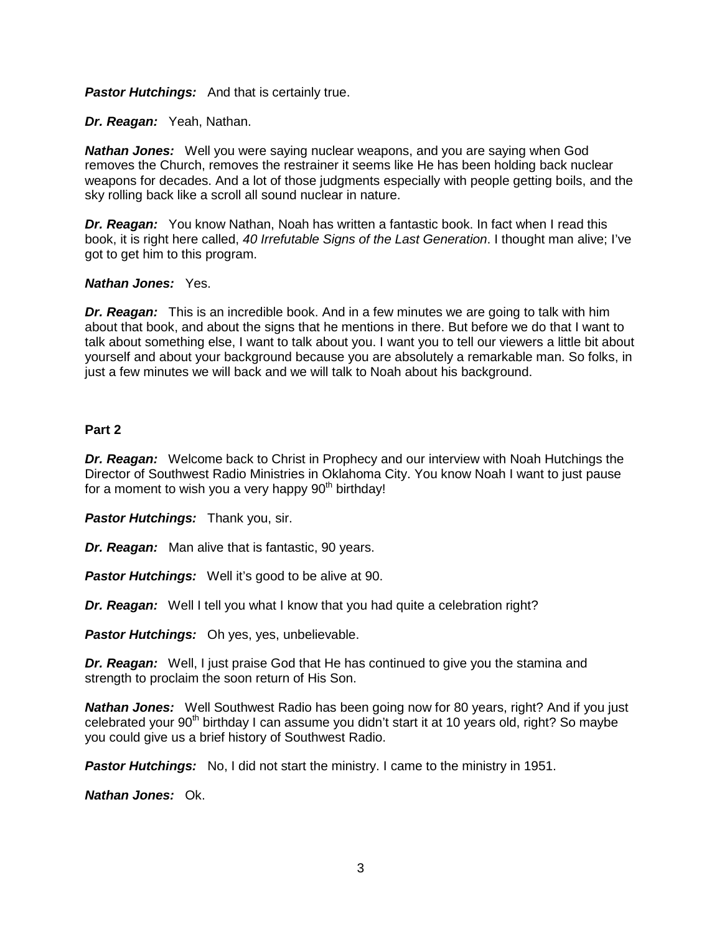**Pastor Hutchings:** And that is certainly true.

*Dr. Reagan:* Yeah, Nathan.

*Nathan Jones:* Well you were saying nuclear weapons, and you are saying when God removes the Church, removes the restrainer it seems like He has been holding back nuclear weapons for decades. And a lot of those judgments especially with people getting boils, and the sky rolling back like a scroll all sound nuclear in nature.

*Dr. Reagan:* You know Nathan, Noah has written a fantastic book. In fact when I read this book, it is right here called, *40 Irrefutable Signs of the Last Generation*. I thought man alive; I've got to get him to this program.

## *Nathan Jones:* Yes.

*Dr. Reagan:* This is an incredible book. And in a few minutes we are going to talk with him about that book, and about the signs that he mentions in there. But before we do that I want to talk about something else, I want to talk about you. I want you to tell our viewers a little bit about yourself and about your background because you are absolutely a remarkable man. So folks, in just a few minutes we will back and we will talk to Noah about his background.

### **Part 2**

*Dr. Reagan:* Welcome back to Christ in Prophecy and our interview with Noah Hutchings the Director of Southwest Radio Ministries in Oklahoma City. You know Noah I want to just pause for a moment to wish you a very happy 90<sup>th</sup> birthday!

*Pastor Hutchings:* Thank you, sir.

*Dr. Reagan:* Man alive that is fantastic, 90 years.

*Pastor Hutchings:* Well it's good to be alive at 90.

*Dr. Reagan:* Well I tell you what I know that you had quite a celebration right?

*Pastor Hutchings:* Oh yes, yes, unbelievable.

*Dr. Reagan:* Well, I just praise God that He has continued to give you the stamina and strength to proclaim the soon return of His Son.

**Nathan Jones:** Well Southwest Radio has been going now for 80 years, right? And if you just celebrated your  $90<sup>th</sup>$  birthday I can assume you didn't start it at 10 years old, right? So maybe you could give us a brief history of Southwest Radio.

*Pastor Hutchings:* No, I did not start the ministry. I came to the ministry in 1951.

*Nathan Jones:* Ok.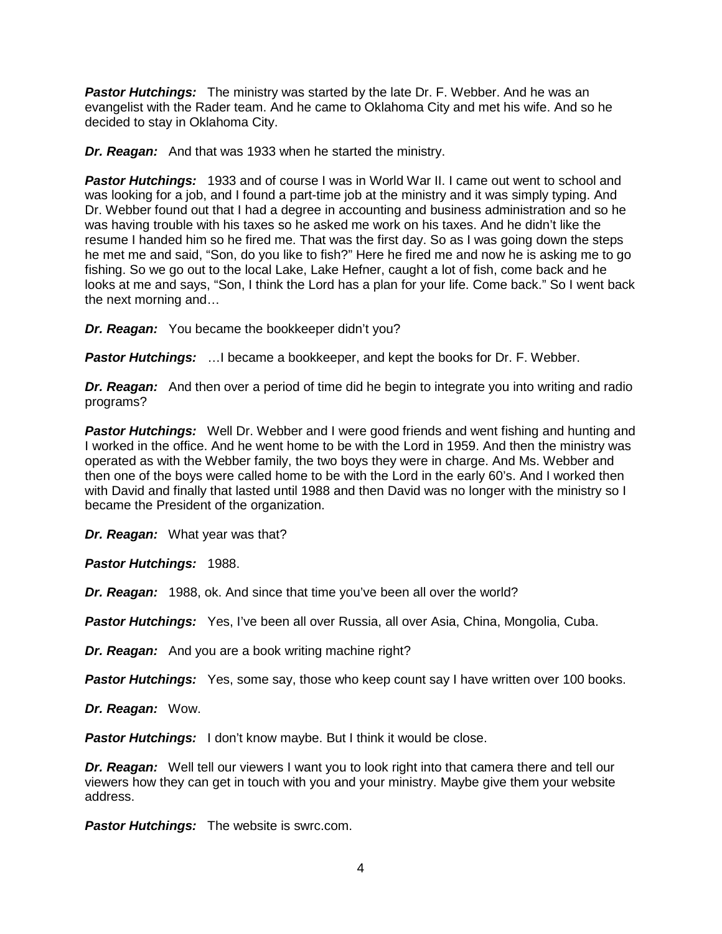*Pastor Hutchings:* The ministry was started by the late Dr. F. Webber. And he was an evangelist with the Rader team. And he came to Oklahoma City and met his wife. And so he decided to stay in Oklahoma City.

*Dr. Reagan:* And that was 1933 when he started the ministry.

**Pastor Hutchings:** 1933 and of course I was in World War II. I came out went to school and was looking for a job, and I found a part-time job at the ministry and it was simply typing. And Dr. Webber found out that I had a degree in accounting and business administration and so he was having trouble with his taxes so he asked me work on his taxes. And he didn't like the resume I handed him so he fired me. That was the first day. So as I was going down the steps he met me and said, "Son, do you like to fish?" Here he fired me and now he is asking me to go fishing. So we go out to the local Lake, Lake Hefner, caught a lot of fish, come back and he looks at me and says, "Son, I think the Lord has a plan for your life. Come back." So I went back the next morning and…

*Dr. Reagan:* You became the bookkeeper didn't you?

*Pastor Hutchings:* …I became a bookkeeper, and kept the books for Dr. F. Webber.

*Dr. Reagan:* And then over a period of time did he begin to integrate you into writing and radio programs?

*Pastor Hutchings:* Well Dr. Webber and I were good friends and went fishing and hunting and I worked in the office. And he went home to be with the Lord in 1959. And then the ministry was operated as with the Webber family, the two boys they were in charge. And Ms. Webber and then one of the boys were called home to be with the Lord in the early 60's. And I worked then with David and finally that lasted until 1988 and then David was no longer with the ministry so I became the President of the organization.

*Dr. Reagan:* What year was that?

*Pastor Hutchings:* 1988.

*Dr. Reagan:* 1988, ok. And since that time you've been all over the world?

*Pastor Hutchings:* Yes, I've been all over Russia, all over Asia, China, Mongolia, Cuba.

*Dr. Reagan:* And you are a book writing machine right?

**Pastor Hutchings:** Yes, some say, those who keep count say I have written over 100 books.

*Dr. Reagan:* Wow.

**Pastor Hutchings:** I don't know maybe. But I think it would be close.

*Dr. Reagan:* Well tell our viewers I want you to look right into that camera there and tell our viewers how they can get in touch with you and your ministry. Maybe give them your website address.

**Pastor Hutchings:** The website is swrc.com.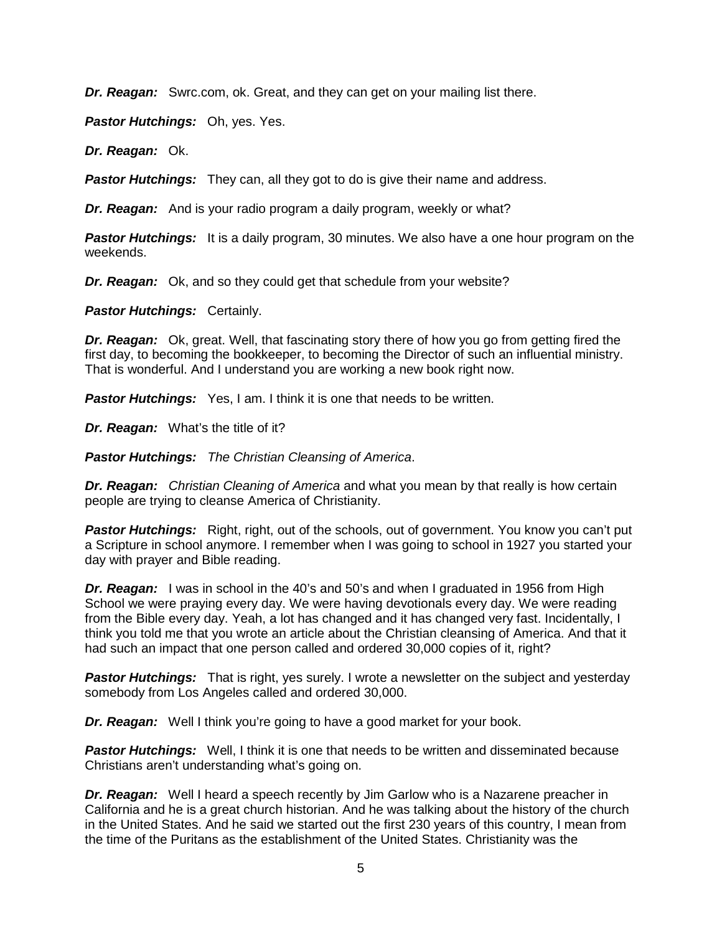*Dr. Reagan:* Swrc.com, ok. Great, and they can get on your mailing list there.

*Pastor Hutchings:* Oh, yes. Yes.

*Dr. Reagan:* Ok.

*Pastor Hutchings:* They can, all they got to do is give their name and address.

*Dr. Reagan:* And is your radio program a daily program, weekly or what?

**Pastor Hutchings:** It is a daily program, 30 minutes. We also have a one hour program on the weekends.

*Dr. Reagan:* Ok, and so they could get that schedule from your website?

*Pastor Hutchings: Certainly.* 

*Dr. Reagan:* Ok, great. Well, that fascinating story there of how you go from getting fired the first day, to becoming the bookkeeper, to becoming the Director of such an influential ministry. That is wonderful. And I understand you are working a new book right now.

*Pastor Hutchings:* Yes, I am. I think it is one that needs to be written.

*Dr. Reagan:* What's the title of it?

*Pastor Hutchings: The Christian Cleansing of America*.

*Dr. Reagan: Christian Cleaning of America* and what you mean by that really is how certain people are trying to cleanse America of Christianity.

**Pastor Hutchings:** Right, right, out of the schools, out of government. You know you can't put a Scripture in school anymore. I remember when I was going to school in 1927 you started your day with prayer and Bible reading.

**Dr. Reagan:** I was in school in the 40's and 50's and when I graduated in 1956 from High School we were praying every day. We were having devotionals every day. We were reading from the Bible every day. Yeah, a lot has changed and it has changed very fast. Incidentally, I think you told me that you wrote an article about the Christian cleansing of America. And that it had such an impact that one person called and ordered 30,000 copies of it, right?

**Pastor Hutchings:** That is right, yes surely. I wrote a newsletter on the subject and yesterday somebody from Los Angeles called and ordered 30,000.

*Dr. Reagan:* Well I think you're going to have a good market for your book.

*Pastor Hutchings:* Well, I think it is one that needs to be written and disseminated because Christians aren't understanding what's going on.

*Dr. Reagan:* Well I heard a speech recently by Jim Garlow who is a Nazarene preacher in California and he is a great church historian. And he was talking about the history of the church in the United States. And he said we started out the first 230 years of this country, I mean from the time of the Puritans as the establishment of the United States. Christianity was the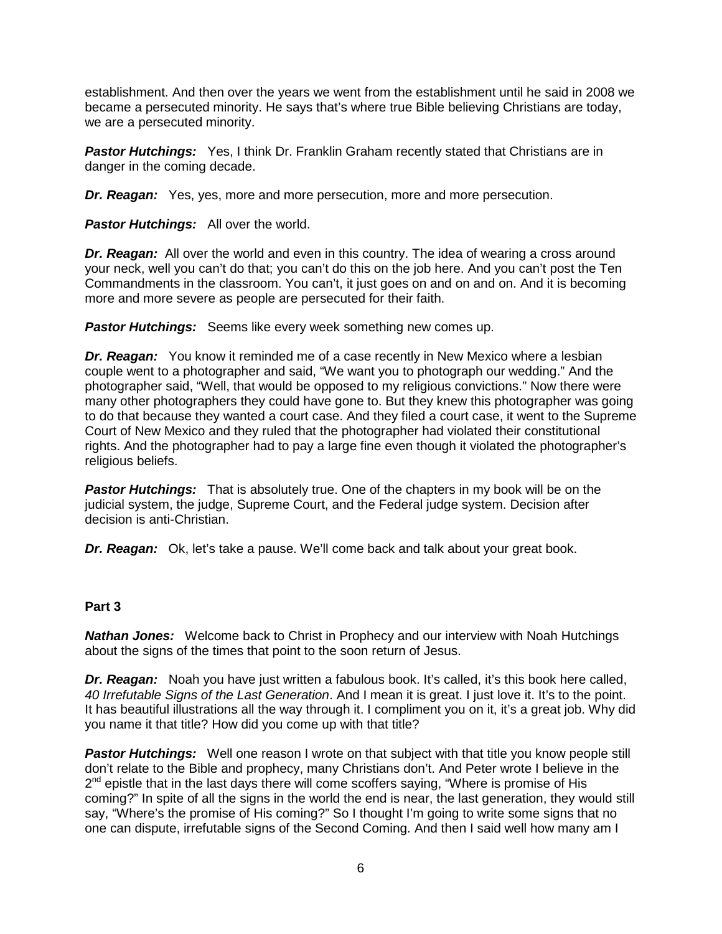establishment. And then over the years we went from the establishment until he said in 2008 we became a persecuted minority. He says that's where true Bible believing Christians are today, we are a persecuted minority.

**Pastor Hutchings:** Yes, I think Dr. Franklin Graham recently stated that Christians are in danger in the coming decade.

*Dr. Reagan:* Yes, yes, more and more persecution, more and more persecution.

*Pastor Hutchings:* All over the world.

**Dr. Reagan:** All over the world and even in this country. The idea of wearing a cross around your neck, well you can't do that; you can't do this on the job here. And you can't post the Ten Commandments in the classroom. You can't, it just goes on and on and on. And it is becoming more and more severe as people are persecuted for their faith.

*Pastor Hutchings:* Seems like every week something new comes up.

**Dr. Reagan:** You know it reminded me of a case recently in New Mexico where a lesbian couple went to a photographer and said, "We want you to photograph our wedding." And the photographer said, "Well, that would be opposed to my religious convictions." Now there were many other photographers they could have gone to. But they knew this photographer was going to do that because they wanted a court case. And they filed a court case, it went to the Supreme Court of New Mexico and they ruled that the photographer had violated their constitutional rights. And the photographer had to pay a large fine even though it violated the photographer's religious beliefs.

**Pastor Hutchings:** That is absolutely true. One of the chapters in my book will be on the judicial system, the judge, Supreme Court, and the Federal judge system. Decision after decision is anti-Christian.

*Dr. Reagan:* Ok, let's take a pause. We'll come back and talk about your great book.

#### **Part 3**

*Nathan Jones:* Welcome back to Christ in Prophecy and our interview with Noah Hutchings about the signs of the times that point to the soon return of Jesus.

**Dr. Reagan:** Noah you have just written a fabulous book. It's called, it's this book here called, *40 Irrefutable Signs of the Last Generation*. And I mean it is great. I just love it. It's to the point. It has beautiful illustrations all the way through it. I compliment you on it, it's a great job. Why did you name it that title? How did you come up with that title?

**Pastor Hutchings:** Well one reason I wrote on that subject with that title you know people still don't relate to the Bible and prophecy, many Christians don't. And Peter wrote I believe in the  $2^{nd}$  epistle that in the last days there will come scoffers saying, "Where is promise of His coming?" In spite of all the signs in the world the end is near, the last generation, they would still say, "Where's the promise of His coming?" So I thought I'm going to write some signs that no one can dispute, irrefutable signs of the Second Coming. And then I said well how many am I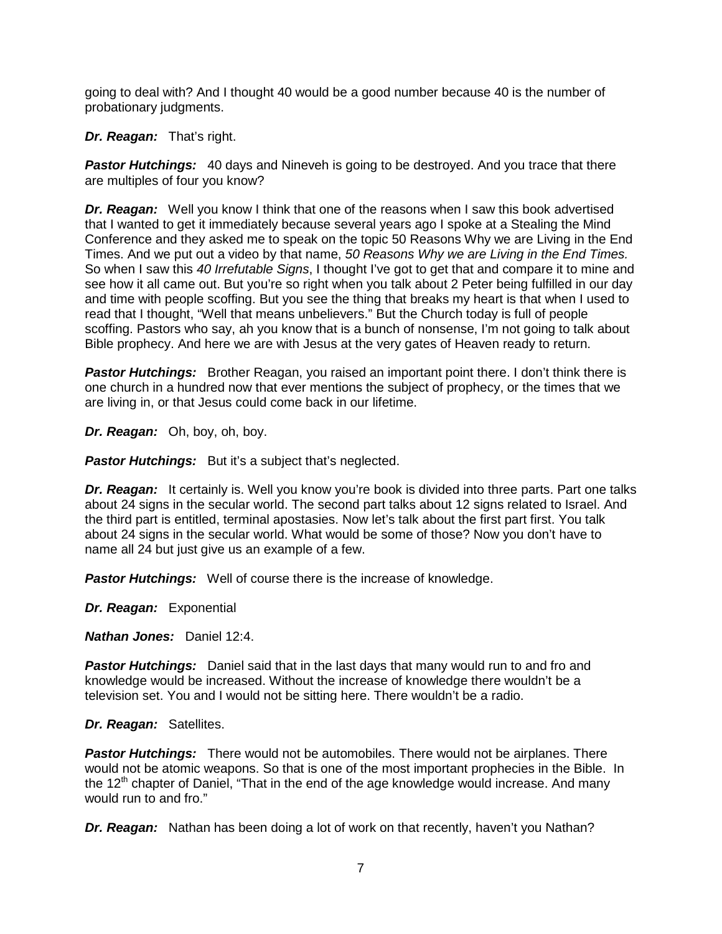going to deal with? And I thought 40 would be a good number because 40 is the number of probationary judgments.

*Dr. Reagan:* That's right.

**Pastor Hutchings:** 40 days and Nineveh is going to be destroyed. And you trace that there are multiples of four you know?

*Dr. Reagan:* Well you know I think that one of the reasons when I saw this book advertised that I wanted to get it immediately because several years ago I spoke at a Stealing the Mind Conference and they asked me to speak on the topic 50 Reasons Why we are Living in the End Times. And we put out a video by that name, *50 Reasons Why we are Living in the End Times.* So when I saw this *40 Irrefutable Signs*, I thought I've got to get that and compare it to mine and see how it all came out. But you're so right when you talk about 2 Peter being fulfilled in our day and time with people scoffing. But you see the thing that breaks my heart is that when I used to read that I thought, "Well that means unbelievers." But the Church today is full of people scoffing. Pastors who say, ah you know that is a bunch of nonsense, I'm not going to talk about Bible prophecy. And here we are with Jesus at the very gates of Heaven ready to return.

**Pastor Hutchings:** Brother Reagan, you raised an important point there. I don't think there is one church in a hundred now that ever mentions the subject of prophecy, or the times that we are living in, or that Jesus could come back in our lifetime.

*Dr. Reagan:* Oh, boy, oh, boy.

**Pastor Hutchings:** But it's a subject that's neglected.

*Dr. Reagan:* It certainly is. Well you know you're book is divided into three parts. Part one talks about 24 signs in the secular world. The second part talks about 12 signs related to Israel. And the third part is entitled, terminal apostasies. Now let's talk about the first part first. You talk about 24 signs in the secular world. What would be some of those? Now you don't have to name all 24 but just give us an example of a few.

**Pastor Hutchings:** Well of course there is the increase of knowledge.

*Dr. Reagan:* Exponential

*Nathan Jones:* Daniel 12:4.

*Pastor Hutchings:* Daniel said that in the last days that many would run to and fro and knowledge would be increased. Without the increase of knowledge there wouldn't be a television set. You and I would not be sitting here. There wouldn't be a radio.

*Dr. Reagan:* Satellites.

*Pastor Hutchings:* There would not be automobiles. There would not be airplanes. There would not be atomic weapons. So that is one of the most important prophecies in the Bible. In the  $12<sup>th</sup>$  chapter of Daniel, "That in the end of the age knowledge would increase. And many would run to and fro."

*Dr. Reagan:* Nathan has been doing a lot of work on that recently, haven't you Nathan?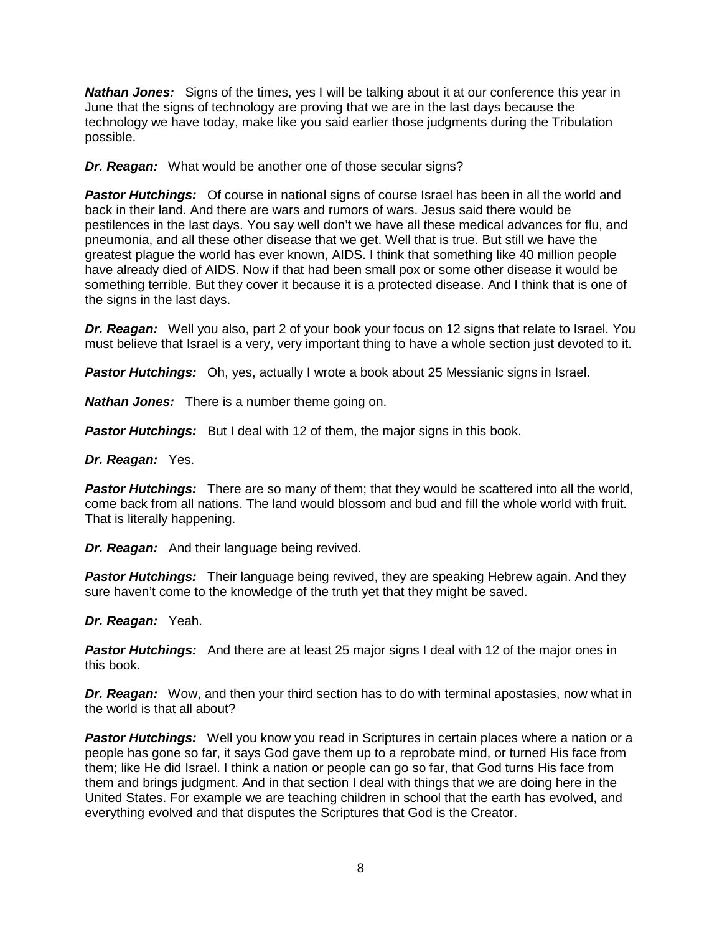*Nathan Jones:* Signs of the times, yes I will be talking about it at our conference this year in June that the signs of technology are proving that we are in the last days because the technology we have today, make like you said earlier those judgments during the Tribulation possible.

*Dr. Reagan:* What would be another one of those secular signs?

**Pastor Hutchings:** Of course in national signs of course Israel has been in all the world and back in their land. And there are wars and rumors of wars. Jesus said there would be pestilences in the last days. You say well don't we have all these medical advances for flu, and pneumonia, and all these other disease that we get. Well that is true. But still we have the greatest plague the world has ever known, AIDS. I think that something like 40 million people have already died of AIDS. Now if that had been small pox or some other disease it would be something terrible. But they cover it because it is a protected disease. And I think that is one of the signs in the last days.

*Dr. Reagan:* Well you also, part 2 of your book your focus on 12 signs that relate to Israel. You must believe that Israel is a very, very important thing to have a whole section just devoted to it.

**Pastor Hutchings:** Oh, yes, actually I wrote a book about 25 Messianic signs in Israel.

*Nathan Jones:* There is a number theme going on.

**Pastor Hutchings:** But I deal with 12 of them, the major signs in this book.

### *Dr. Reagan:* Yes.

**Pastor Hutchings:** There are so many of them; that they would be scattered into all the world, come back from all nations. The land would blossom and bud and fill the whole world with fruit. That is literally happening.

*Dr. Reagan:* And their language being revived.

**Pastor Hutchings:** Their language being revived, they are speaking Hebrew again. And they sure haven't come to the knowledge of the truth yet that they might be saved.

*Dr. Reagan:* Yeah.

**Pastor Hutchings:** And there are at least 25 major signs I deal with 12 of the major ones in this book.

*Dr. Reagan:* Wow, and then your third section has to do with terminal apostasies, now what in the world is that all about?

**Pastor Hutchings:** Well you know you read in Scriptures in certain places where a nation or a people has gone so far, it says God gave them up to a reprobate mind, or turned His face from them; like He did Israel. I think a nation or people can go so far, that God turns His face from them and brings judgment. And in that section I deal with things that we are doing here in the United States. For example we are teaching children in school that the earth has evolved, and everything evolved and that disputes the Scriptures that God is the Creator.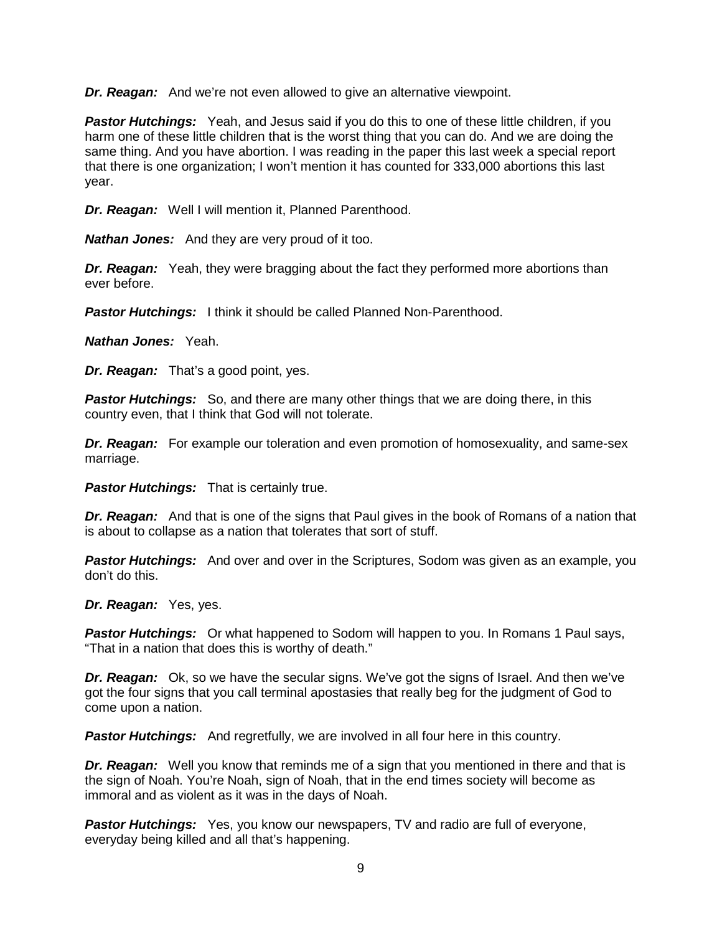*Dr. Reagan:* And we're not even allowed to give an alternative viewpoint.

**Pastor Hutchings:** Yeah, and Jesus said if you do this to one of these little children, if you harm one of these little children that is the worst thing that you can do. And we are doing the same thing. And you have abortion. I was reading in the paper this last week a special report that there is one organization; I won't mention it has counted for 333,000 abortions this last year.

*Dr. Reagan:* Well I will mention it, Planned Parenthood.

*Nathan Jones:* And they are very proud of it too.

*Dr. Reagan:* Yeah, they were bragging about the fact they performed more abortions than ever before.

**Pastor Hutchings:** I think it should be called Planned Non-Parenthood.

*Nathan Jones:* Yeah.

*Dr. Reagan:* That's a good point, yes.

**Pastor Hutchings:** So, and there are many other things that we are doing there, in this country even, that I think that God will not tolerate.

*Dr. Reagan:* For example our toleration and even promotion of homosexuality, and same-sex marriage.

*Pastor Hutchings:* That is certainly true.

*Dr. Reagan:* And that is one of the signs that Paul gives in the book of Romans of a nation that is about to collapse as a nation that tolerates that sort of stuff.

**Pastor Hutchings:** And over and over in the Scriptures, Sodom was given as an example, you don't do this.

*Dr. Reagan:* Yes, yes.

**Pastor Hutchings:** Or what happened to Sodom will happen to you. In Romans 1 Paul says, "That in a nation that does this is worthy of death."

*Dr. Reagan:* Ok, so we have the secular signs. We've got the signs of Israel. And then we've got the four signs that you call terminal apostasies that really beg for the judgment of God to come upon a nation.

**Pastor Hutchings:** And regretfully, we are involved in all four here in this country.

**Dr. Reagan:** Well you know that reminds me of a sign that you mentioned in there and that is the sign of Noah. You're Noah, sign of Noah, that in the end times society will become as immoral and as violent as it was in the days of Noah.

*Pastor Hutchings:* Yes, you know our newspapers, TV and radio are full of everyone, everyday being killed and all that's happening.